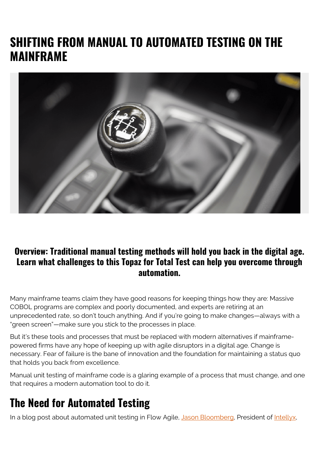# **SHIFTING FROM MANUAL TO AUTOMATED TESTING ON THE MAINFRAME**



#### **Overview: Traditional manual testing methods will hold you back in the digital age. Learn what challenges to this Topaz for Total Test can help you overcome through automation.**

Many mainframe teams claim they have good reasons for keeping things how they are: Massive COBOL programs are complex and poorly documented, and experts are retiring at an unprecedented rate, so don't touch anything. And if you're going to make changes—always with a "green screen"—make sure you stick to the processes in place.

But it's these tools and processes that must be replaced with modern alternatives if mainframepowered firms have any hope of keeping up with agile disruptors in a digital age. Change is necessary. Fear of failure is the bane of innovation and the foundation for maintaining a status quo that holds you back from excellence.

Manual unit testing of mainframe code is a glaring example of a process that must change, and one that requires a modern automation tool to do it.

## **The Need for Automated Testing**

In a blog post about automated unit testing in Flow Agile, [Jason Bloomberg](https://www.linkedin.com/in/jasonbloomberg/), President of [Intellyx](https://intellyx.com/),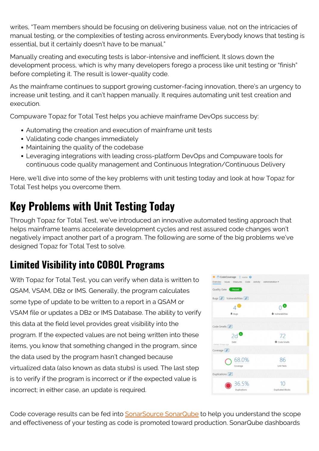writes, "Team members should be focusing on delivering business value, not on the intricacies of manual testing, or the complexities of testing across environments. Everybody knows that testing is essential, but it certainly doesn't have to be manual."

Manually creating and executing tests is labor-intensive and inefficient. It slows down the development process, which is why many developers forego a process like unit testing or "finish" before completing it. The result is lower-quality code.

As the mainframe continues to support growing customer-facing innovation, there's an urgency to increase unit testing, and it can't happen manually. It requires automating unit test creation and execution.

Compuware Topaz for Total Test helps you achieve mainframe DevOps success by:

- Automating the creation and execution of mainframe unit tests
- Validating code changes immediately
- Maintaining the quality of the codebase
- Leveraging integrations with leading cross-platform DevOps and Compuware tools for continuous code quality management and Continuous Integration/Continuous Delivery

Here, we'll dive into some of the key problems with unit testing today and look at how Topaz for Total Test helps you overcome them.

# **Key Problems with Unit Testing Today**

Through Topaz for Total Test, we've introduced an innovative automated testing approach that helps mainframe teams accelerate development cycles and rest assured code changes won't negatively impact another part of a program. The following are some of the big problems we've designed Topaz for Total Test to solve.

# **Limited Visibility into COBOL Programs**

With Topaz for Total Test, you can verify when data is written to QSAM, VSAM, DB2 or IMS. Generally, the program calculates some type of update to be written to a report in a QSAM or VSAM file or updates a DB2 or IMS Database. The ability to verify this data at the field level provides great visibility into the program. If the expected values are not being written into these items, you know that something changed in the program, since the data used by the program hasn't changed because virtualized data (also known as data stubs) is used. The last step is to verify if the program is incorrect or if the expected value is incorrect; in either case, an update is required.

| CodeCoverage   naster @<br>Overview Issues Measures Code Activity Administration . |                          |
|------------------------------------------------------------------------------------|--------------------------|
| Quality Gate Ramed                                                                 |                          |
| Bugs & Vulnerabilities &                                                           |                          |
|                                                                                    |                          |
| 高 Eugs                                                                             | <b>6</b> Vulnerabilities |
|                                                                                    |                          |
| Code Smells [P]                                                                    |                          |
| 2d                                                                                 | 72                       |
| Debt<br>started 19 days ago.                                                       | <b>O</b> Code Smells     |
| Coverage <b>P</b>                                                                  |                          |
|                                                                                    | 86                       |
| $\bigcirc$ 68.0%                                                                   | Unit Tests               |
| Duplications <b>P</b>                                                              |                          |
| 36.5%                                                                              | 10                       |
| Duplications                                                                       | Duplicated Blocks        |
|                                                                                    |                          |

Code coverage results can be fed into **SonarSource SonarQube** to help you understand the scope and effectiveness of your testing as code is promoted toward production. SonarQube dashboards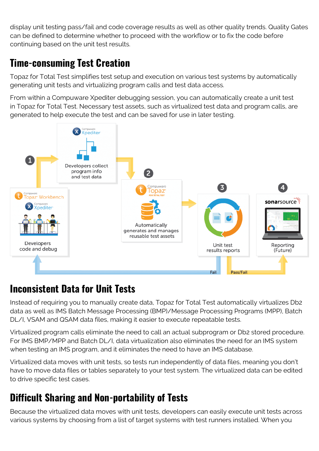display unit testing pass/fail and code coverage results as well as other quality trends. Quality Gates can be defined to determine whether to proceed with the workflow or to fix the code before continuing based on the unit test results.

### **Time-consuming Test Creation**

Topaz for Total Test simplifies test setup and execution on various test systems by automatically generating unit tests and virtualizing program calls and test data access.

From within a Compuware Xpediter debugging session, you can automatically create a unit test in Topaz for Total Test. Necessary test assets, such as virtualized test data and program calls, are generated to help execute the test and can be saved for use in later testing.



#### **Inconsistent Data for Unit Tests**

Instead of requiring you to manually create data, Topaz for Total Test automatically virtualizes Db2 data as well as IMS Batch Message Processing (BMP)/Message Processing Programs (MPP), Batch DL/I, VSAM and QSAM data files, making it easier to execute repeatable tests.

Virtualized program calls eliminate the need to call an actual subprogram or Db2 stored procedure. For IMS BMP/MPP and Batch DL/I, data virtualization also eliminates the need for an IMS system when testing an IMS program, and it eliminates the need to have an IMS database.

Virtualized data moves with unit tests, so tests run independently of data files, meaning you don't have to move data files or tables separately to your test system. The virtualized data can be edited to drive specific test cases.

### **Difficult Sharing and Non-portability of Tests**

Because the virtualized data moves with unit tests, developers can easily execute unit tests across various systems by choosing from a list of target systems with test runners installed. When you